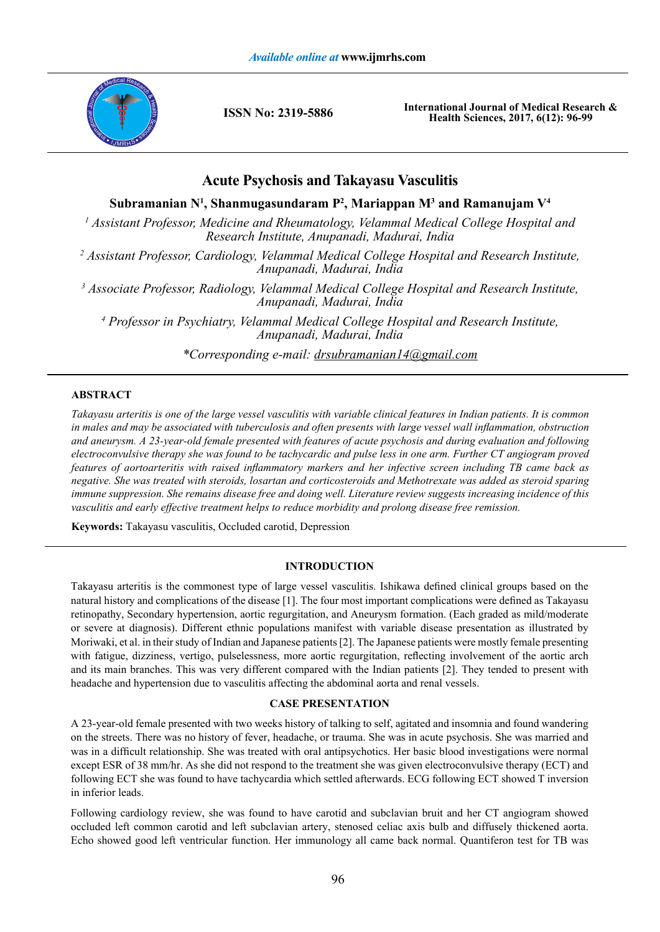

**ISSN No: 2319-5886**

**International Journal of Medical Research & Health Sciences, 2017, 6(12): 96-99**

# **Acute Psychosis and Takayasu Vasculitis**

**Subramanian N1 , Shanmugasundaram P2 , Mariappan M3 and Ramanujam V4**

<sup>1</sup> Assistant Professor, Medicine and Rheumatology, Velammal Medical College Hospital and *Research Institute, Anupanadi, Madurai, India*

*2 Assistant Professor, Cardiology, Velammal Medical College Hospital and Research Institute, Anupanadi, Madurai, India*

*3 Associate Professor, Radiology, Velammal Medical College Hospital and Research Institute, Anupanadi, Madurai, India*

<sup>4</sup> Professor in Psychiatry, Velammal Medical College Hospital and Research Institute, *Anupanadi, Madurai, India*

*\*Corresponding e-mail: drsubramanian14@gmail.com*

# **ABSTRACT**

*Takayasu arteritis is one of the large vessel vasculitis with variable clinical features in Indian patients. It is common in males and may be associated with tuberculosis and often presents with large vessel wall inflammation, obstruction and aneurysm. A 23-year-old female presented with features of acute psychosis and during evaluation and following electroconvulsive therapy she was found to be tachycardic and pulse less in one arm. Further CT angiogram proved features of aortoarteritis with raised inflammatory markers and her infective screen including TB came back as negative. She was treated with steroids, losartan and corticosteroids and Methotrexate was added as steroid sparing immune suppression. She remains disease free and doing well. Literature review suggests increasing incidence of this vasculitis and early effective treatment helps to reduce morbidity and prolong disease free remission.*

**Keywords:** Takayasu vasculitis, Occluded carotid, Depression

## **INTRODUCTION**

Takayasu arteritis is the commonest type of large vessel vasculitis. Ishikawa defined clinical groups based on the natural history and complications of the disease [1]. The four most important complications were defined as Takayasu retinopathy, Secondary hypertension, aortic regurgitation, and Aneurysm formation. (Each graded as mild/moderate or severe at diagnosis). Different ethnic populations manifest with variable disease presentation as illustrated by Moriwaki, et al. in their study of Indian and Japanese patients [2]. The Japanese patients were mostly female presenting with fatigue, dizziness, vertigo, pulselessness, more aortic regurgitation, reflecting involvement of the aortic arch and its main branches. This was very different compared with the Indian patients [2]. They tended to present with headache and hypertension due to vasculitis affecting the abdominal aorta and renal vessels.

# **CASE PRESENTATION**

A 23-year-old female presented with two weeks history of talking to self, agitated and insomnia and found wandering on the streets. There was no history of fever, headache, or trauma. She was in acute psychosis. She was married and was in a difficult relationship. She was treated with oral antipsychotics. Her basic blood investigations were normal except ESR of 38 mm/hr. As she did not respond to the treatment she was given electroconvulsive therapy (ECT) and following ECT she was found to have tachycardia which settled afterwards. ECG following ECT showed T inversion in inferior leads.

Following cardiology review, she was found to have carotid and subclavian bruit and her CT angiogram showed occluded left common carotid and left subclavian artery, stenosed celiac axis bulb and diffusely thickened aorta. Echo showed good left ventricular function. Her immunology all came back normal. Quantiferon test for TB was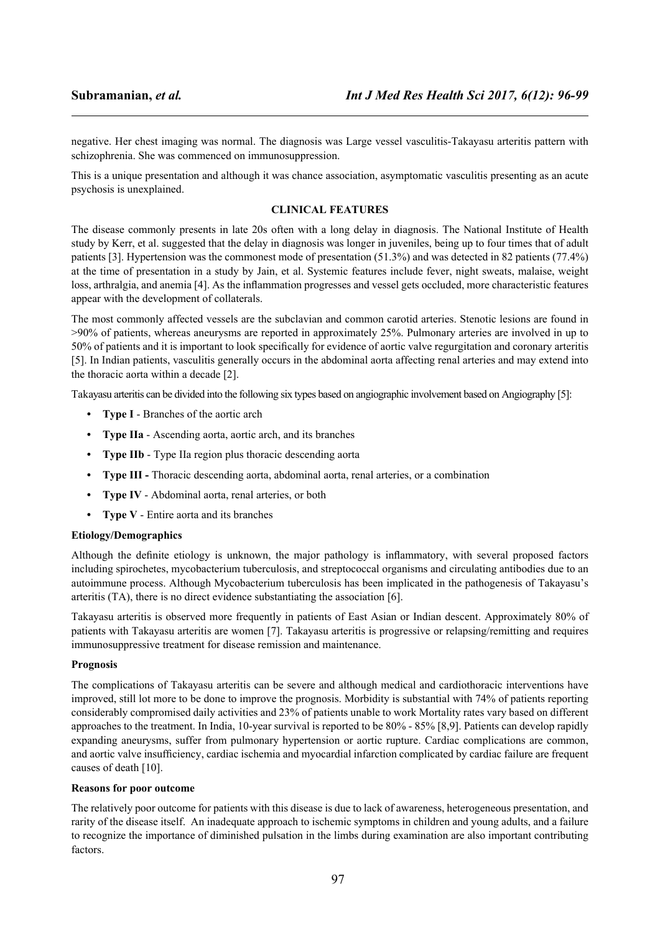negative. Her chest imaging was normal. The diagnosis was Large vessel vasculitis-Takayasu arteritis pattern with schizophrenia. She was commenced on immunosuppression.

This is a unique presentation and although it was chance association, asymptomatic vasculitis presenting as an acute psychosis is unexplained.

# **CLINICAL FEATURES**

The disease commonly presents in late 20s often with a long delay in diagnosis. The National Institute of Health study by Kerr, et al. suggested that the delay in diagnosis was longer in juveniles, being up to four times that of adult patients [3]. Hypertension was the commonest mode of presentation (51.3%) and was detected in 82 patients (77.4%) at the time of presentation in a study by Jain, et al. Systemic features include fever, night sweats, malaise, weight loss, arthralgia, and anemia [4]. As the inflammation progresses and vessel gets occluded, more characteristic features appear with the development of collaterals.

The most commonly affected vessels are the subclavian and common carotid arteries. Stenotic lesions are found in >90% of patients, whereas aneurysms are reported in approximately 25%. Pulmonary arteries are involved in up to 50% of patients and it is important to look specifically for evidence of aortic valve regurgitation and coronary arteritis [5]. In Indian patients, vasculitis generally occurs in the abdominal aorta affecting renal arteries and may extend into the thoracic aorta within a decade [2].

Takayasu arteritis can be divided into the following six types based on angiographic involvement based on Angiography [5]:

- **• Type I** Branches of the aortic arch
- **• Type IIa** Ascending aorta, aortic arch, and its branches
- **• Type IIb** Type IIa region plus thoracic descending aorta
- **• Type III -** Thoracic descending aorta, abdominal aorta, renal arteries, or a combination
- **• Type IV** Abdominal aorta, renal arteries, or both
- **• Type V** Entire aorta and its branches

## **Etiology/Demographics**

Although the definite etiology is unknown, the major pathology is inflammatory, with several proposed factors including spirochetes, mycobacterium tuberculosis, and streptococcal organisms and circulating antibodies due to an autoimmune process. Although Mycobacterium tuberculosis has been implicated in the pathogenesis of Takayasu's arteritis (TA), there is no direct evidence substantiating the association [6].

Takayasu arteritis is observed more frequently in patients of East Asian or Indian descent. Approximately 80% of patients with Takayasu arteritis are women [7]. Takayasu arteritis is progressive or relapsing/remitting and requires immunosuppressive treatment for disease remission and maintenance.

## **Prognosis**

The complications of Takayasu arteritis can be severe and although medical and cardiothoracic interventions have improved, still lot more to be done to improve the prognosis. Morbidity is substantial with 74% of patients reporting considerably compromised daily activities and 23% of patients unable to work Mortality rates vary based on different approaches to the treatment. In India, 10-year survival is reported to be 80% - 85% [8,9]. Patients can develop rapidly expanding aneurysms, suffer from pulmonary hypertension or aortic rupture. Cardiac complications are common, and aortic valve insufficiency, cardiac ischemia and myocardial infarction complicated by cardiac failure are frequent causes of death [10].

## **Reasons for poor outcome**

The relatively poor outcome for patients with this disease is due to lack of awareness, heterogeneous presentation, and rarity of the disease itself. An inadequate approach to ischemic symptoms in children and young adults, and a failure to recognize the importance of diminished pulsation in the limbs during examination are also important contributing factors.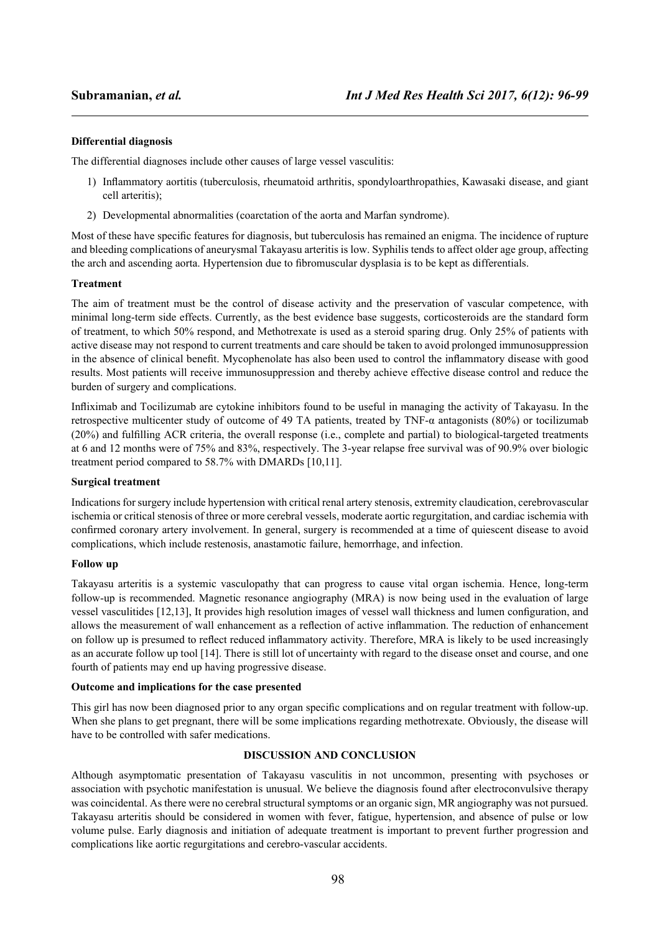# **Differential diagnosis**

The differential diagnoses include other causes of large vessel vasculitis:

- 1) Inflammatory aortitis (tuberculosis, rheumatoid arthritis, spondyloarthropathies, Kawasaki disease, and giant cell arteritis);
- 2) Developmental abnormalities (coarctation of the aorta and Marfan syndrome).

Most of these have specific features for diagnosis, but tuberculosis has remained an enigma. The incidence of rupture and bleeding complications of aneurysmal Takayasu arteritis is low. Syphilis tends to affect older age group, affecting the arch and ascending aorta. Hypertension due to fibromuscular dysplasia is to be kept as differentials.

# **Treatment**

The aim of treatment must be the control of disease activity and the preservation of vascular competence, with minimal long-term side effects. Currently, as the best evidence base suggests, corticosteroids are the standard form of treatment, to which 50% respond, and Methotrexate is used as a steroid sparing drug. Only 25% of patients with active disease may not respond to current treatments and care should be taken to avoid prolonged immunosuppression in the absence of clinical benefit. Mycophenolate has also been used to control the inflammatory disease with good results. Most patients will receive immunosuppression and thereby achieve effective disease control and reduce the burden of surgery and complications.

Infliximab and Tocilizumab are cytokine inhibitors found to be useful in managing the activity of Takayasu. In the retrospective multicenter study of outcome of 49 TA patients, treated by TNF-α antagonists (80%) or tocilizumab (20%) and fulfilling ACR criteria, the overall response (i.e., complete and partial) to biological-targeted treatments at 6 and 12 months were of 75% and 83%, respectively. The 3-year relapse free survival was of 90.9% over biologic treatment period compared to 58.7% with DMARDs [10,11].

## **Surgical treatment**

Indications for surgery include hypertension with critical renal artery stenosis, extremity claudication, cerebrovascular ischemia or critical stenosis of three or more cerebral vessels, moderate aortic regurgitation, and cardiac ischemia with confirmed coronary artery involvement. In general, surgery is recommended at a time of quiescent disease to avoid complications, which include restenosis, anastamotic failure, hemorrhage, and infection.

## **Follow up**

Takayasu arteritis is a systemic vasculopathy that can progress to cause vital organ ischemia. Hence, long-term follow-up is recommended. Magnetic resonance angiography (MRA) is now being used in the evaluation of large vessel vasculitides [12,13], It provides high resolution images of vessel wall thickness and lumen configuration, and allows the measurement of wall enhancement as a reflection of active inflammation. The reduction of enhancement on follow up is presumed to reflect reduced inflammatory activity. Therefore, MRA is likely to be used increasingly as an accurate follow up tool [14]. There is still lot of uncertainty with regard to the disease onset and course, and one fourth of patients may end up having progressive disease.

## **Outcome and implications for the case presented**

This girl has now been diagnosed prior to any organ specific complications and on regular treatment with follow-up. When she plans to get pregnant, there will be some implications regarding methotrexate. Obviously, the disease will have to be controlled with safer medications.

# **DISCUSSION AND CONCLUSION**

Although asymptomatic presentation of Takayasu vasculitis in not uncommon, presenting with psychoses or association with psychotic manifestation is unusual. We believe the diagnosis found after electroconvulsive therapy was coincidental. As there were no cerebral structural symptoms or an organic sign, MR angiography was not pursued. Takayasu arteritis should be considered in women with fever, fatigue, hypertension, and absence of pulse or low volume pulse. Early diagnosis and initiation of adequate treatment is important to prevent further progression and complications like aortic regurgitations and cerebro-vascular accidents.